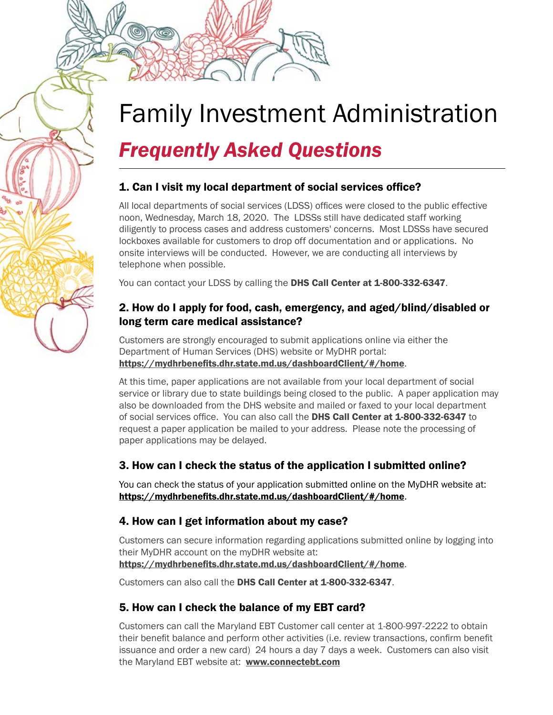# Family Investment Administration

# *Frequently Asked Questions*

# 1. Can I visit my local department of social services office?

All local departments of social services (LDSS) offices were closed to the public effective noon, Wednesday, March 18, 2020. The LDSSs still have dedicated staff working diligently to process cases and address customers' concerns. Most LDSSs have secured lockboxes available for customers to drop off documentation and or applications. No onsite interviews will be conducted. However, we are conducting all interviews by telephone when possible.

You can contact your LDSS by calling the DHS Call Center at 1-800-332-6347.

#### 2. How do I apply for food, cash, emergency, and aged/blind/disabled or long term care medical assistance?

Customers are strongly encouraged to submit applications online via either the Department of Human Services (DHS) website or MyDHR portal: https://mydhrbenefits.dhr.state.md.us/dashboardClient/#/home.

At this time, paper applications are not available from your local department of social service or library due to state buildings being closed to the public. A paper application may also be downloaded from the DHS website and mailed or faxed to your local department of social services office. You can also call the DHS Call Center at 1-800-332-6347 to request a paper application be mailed to your address. Please note the processing of paper applications may be delayed.

# 3. How can I check the status of the application I submitted online?

You can check the status of your application submitted online on the MyDHR website at: https://mydhrbenefits.dhr.state.md.us/dashboardClient/#/home.

# 4. How can I get information about my case?

Customers can secure information regarding applications submitted online by logging into their MyDHR account on the myDHR website at:

https://mydhrbenefits.dhr.state.md.us/dashboardClient/#/home.

Customers can also call the DHS Call Center at 1-800-332-6347.

# 5. How can I check the balance of my EBT card?

Customers can call the Maryland EBT Customer call center at 1-800-997-2222 to obtain their benefit balance and perform other activities (i.e. review transactions, confirm benefit issuance and order a new card) 24 hours a day 7 days a week. Customers can also visit the Maryland EBT website at: www.connectebt.com